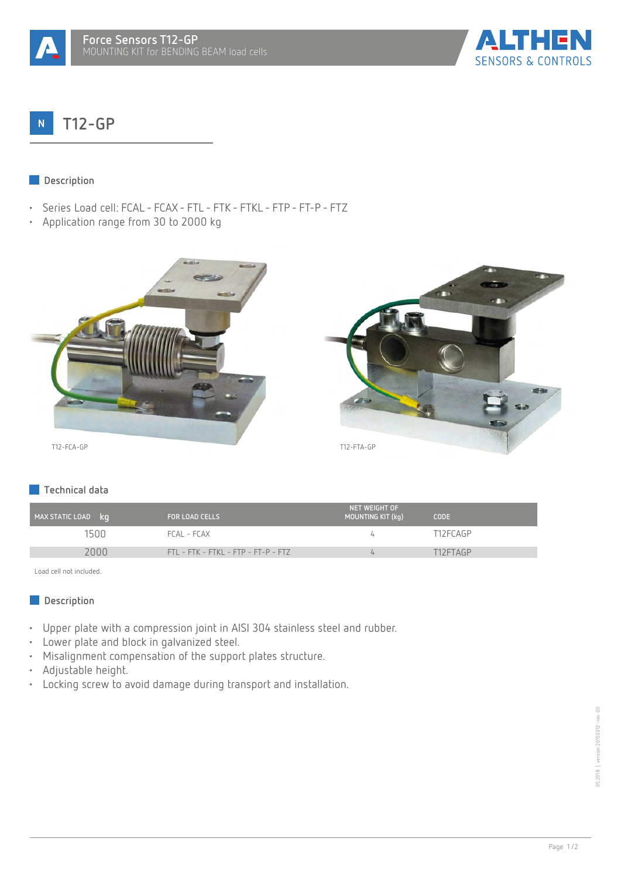



#### **T12-GP**  $\overline{N}$

#### **Description**  $\mathcal{L}^{\text{max}}$

- Series Load cell: FCAL FCAX FTL FTK FTKL FTP FT-P FTZ
- Application range from 30 to 2000 kg





# **Technical data**

| MAX STATIC LOAD kg | <b>FOR LOAD CELLS</b>               | NET WEIGHT OF<br>MOUNTING KIT (kg) | <b>CODE</b> |
|--------------------|-------------------------------------|------------------------------------|-------------|
| 1500               | FCAL - FCAX                         |                                    | T12FCAGP    |
| 2000               | FTL - FTK - FTKL - FTP - FT-P - FTZ |                                    | T12FTAGP    |

Load cell not included.

## **Description**

- Upper plate with a compression joint in AISI 304 stainless steel and rubber.
- Lower plate and block in galvanized steel.
- Misalignment compensation of the support plates structure.
- Adjustable height.
- Locking screw to avoid damage during transport and installation.